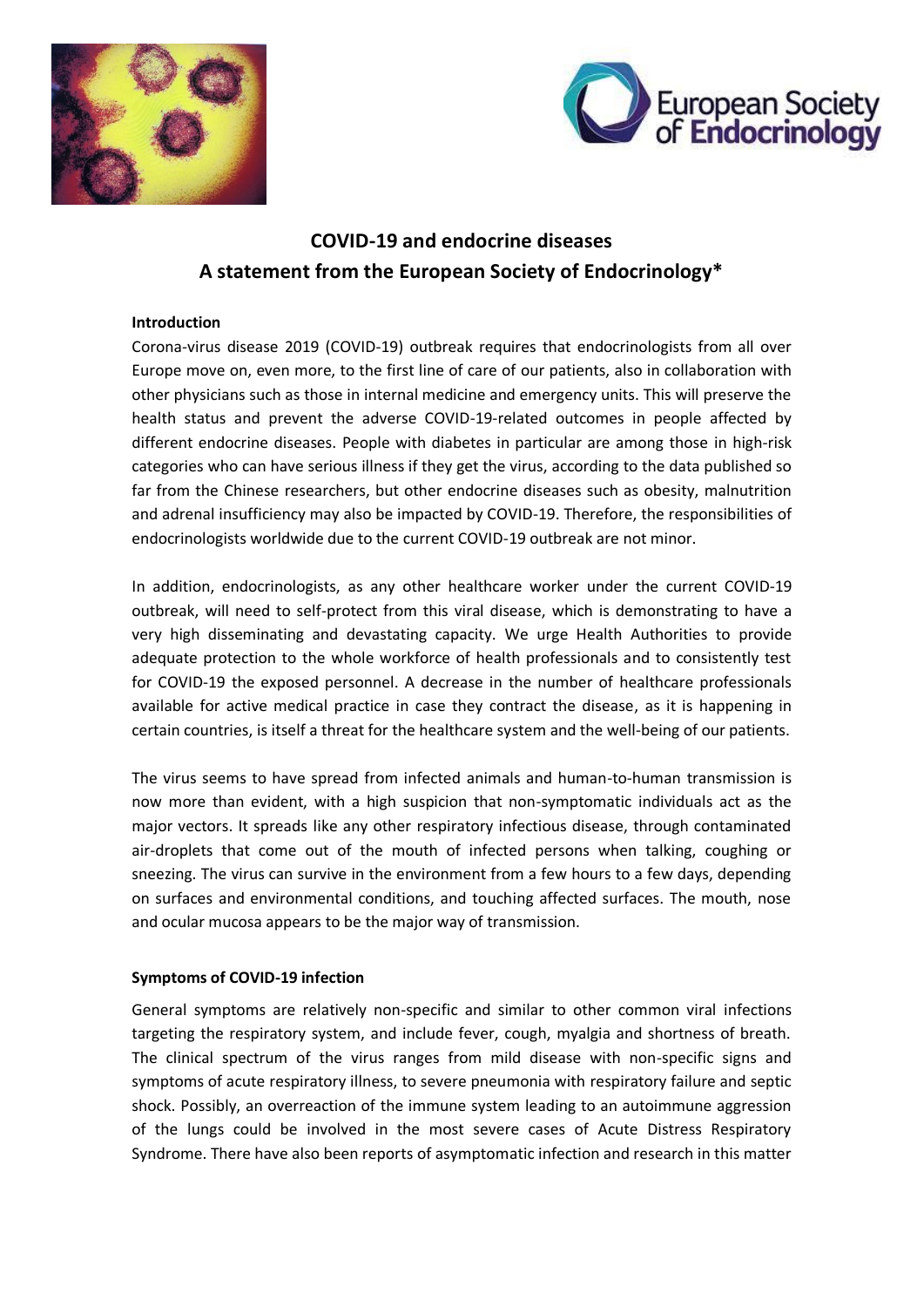



# **COVID-19 and endocrine diseases A statement from the European Society of Endocrinology\***

## **Introduction**

Corona-virus disease 2019 (COVID-19) outbreak requires that endocrinologists from all over Europe move on, even more, to the first line of care of our patients, also in collaboration with other physicians such as those in internal medicine and emergency units. This will preserve the health status and prevent the adverse COVID-19-related outcomes in people affected by different endocrine diseases. People with diabetes in particular are among those in high-risk categories who can have serious illness if they get the virus, according to the data published so far from the Chinese researchers, but other endocrine diseases such as obesity, malnutrition and adrenal insufficiency may also be impacted by COVID-19. Therefore, the responsibilities of endocrinologists worldwide due to the current COVID-19 outbreak are not minor.

In addition, endocrinologists, as any other healthcare worker under the current COVID-19 outbreak, will need to self-protect from this viral disease, which is demonstrating to have a very high disseminating and devastating capacity. We urge Health Authorities to provide adequate protection to the whole workforce of health professionals and to consistently test for COVID-19 the exposed personnel. A decrease in the number of healthcare professionals available for active medical practice in case they contract the disease, as it is happening in certain countries, is itself a threat for the healthcare system and the well-being of our patients.

The virus seems to have spread from infected animals and human-to-human transmission is now more than evident, with a high suspicion that non-symptomatic individuals act as the major vectors. It spreads like any other respiratory infectious disease, through contaminated air-droplets that come out of the mouth of infected persons when talking, coughing or sneezing. The virus can survive in the environment from a few hours to a few days, depending on surfaces and environmental conditions, and touching affected surfaces. The mouth, nose and ocular mucosa appears to be the major way of transmission.

# **Symptoms of COVID-19 infection**

General symptoms are relatively non-specific and similar to other common viral infections targeting the respiratory system, and include fever, cough, myalgia and shortness of breath. The clinical spectrum of the virus ranges from mild disease with non-specific signs and symptoms of acute respiratory illness, to severe pneumonia with respiratory failure and septic shock. Possibly, an overreaction of the immune system leading to an autoimmune aggression of the lungs could be involved in the most severe cases of Acute Distress Respiratory Syndrome. There have also been reports of asymptomatic infection and research in this matter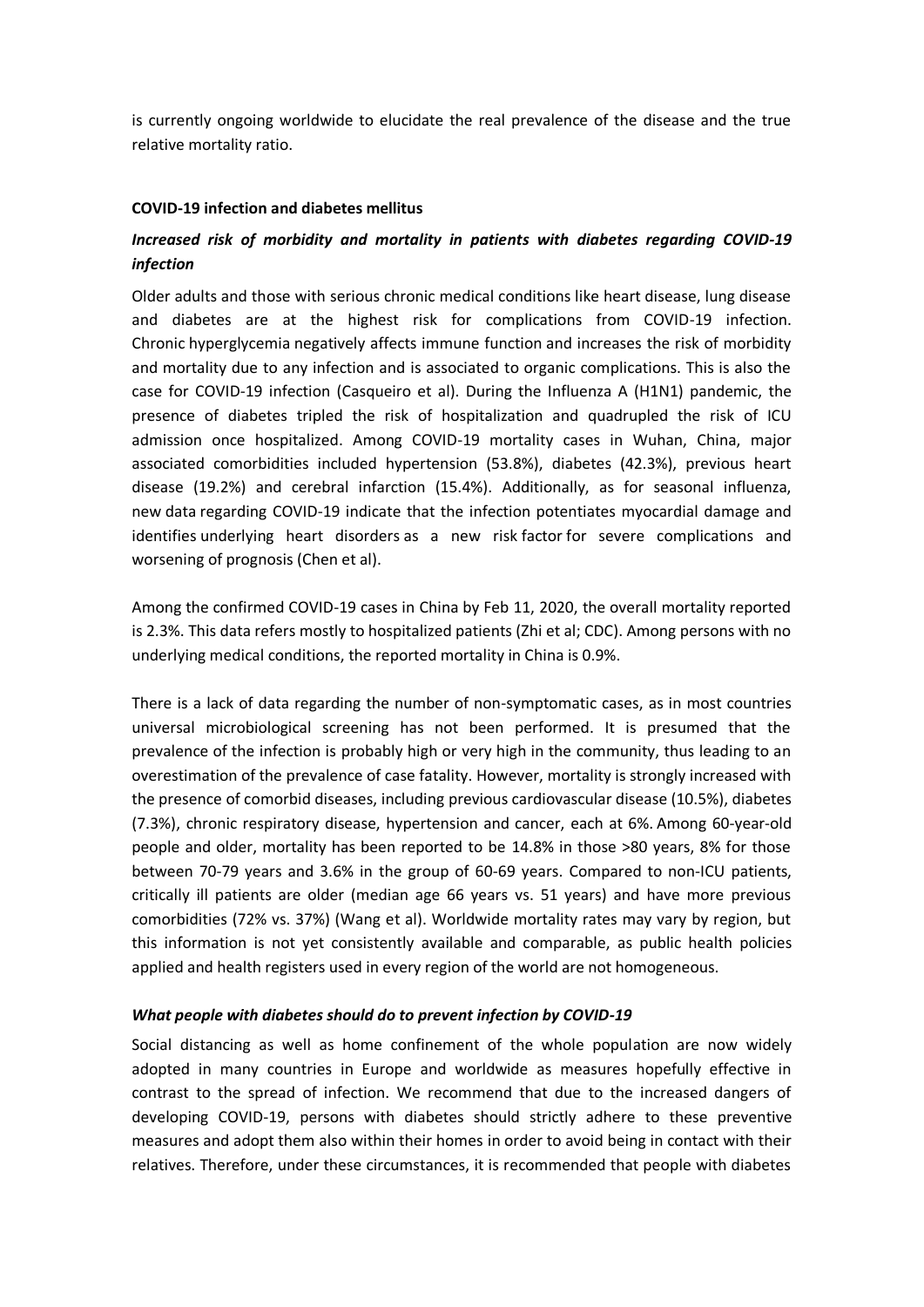is currently ongoing worldwide to elucidate the real prevalence of the disease and the true relative mortality ratio.

### **COVID-19 infection and diabetes mellitus**

# *Increased risk of morbidity and mortality in patients with diabetes regarding COVID-19 infection*

Older adults and those with serious chronic medical conditions like heart disease, lung disease and diabetes are at the highest risk for complications from COVID-19 infection. Chronic hyperglycemia negatively affects immune function and increases the risk of morbidity and mortality due to any infection and is associated to organic complications. This is also the case for COVID-19 infection (Casqueiro et al). During the Influenza A (H1N1) pandemic, the presence of diabetes tripled the risk of hospitalization and quadrupled the risk of ICU admission once hospitalized. Among COVID-19 mortality cases in Wuhan, China, major associated comorbidities included hypertension (53.8%), diabetes (42.3%), previous heart disease (19.2%) and cerebral infarction (15.4%). Additionally, as for seasonal influenza, new data regarding COVID-19 indicate that the infection potentiates myocardial damage and identifies underlying heart disorders as a new risk factor for severe complications and worsening of prognosis (Chen et al).

Among the confirmed COVID-19 cases in China by Feb 11, 2020, the overall mortality reported is 2.3%. This data refers mostly to hospitalized patients (Zhi et al; CDC). Among persons with no underlying medical conditions, the reported mortality in China is 0.9%.

There is a lack of data regarding the number of non-symptomatic cases, as in most countries universal microbiological screening has not been performed. It is presumed that the prevalence of the infection is probably high or very high in the community, thus leading to an overestimation of the prevalence of case fatality. However, mortality is strongly increased with the presence of comorbid diseases, including previous cardiovascular disease (10.5%), diabetes (7.3%), chronic respiratory disease, hypertension and cancer, each at 6%. Among 60-year-old people and older, mortality has been reported to be 14.8% in those >80 years, 8% for those between 70-79 years and 3.6% in the group of 60-69 years. Compared to non-ICU patients, critically ill patients are older (median age 66 years vs. 51 years) and have more previous comorbidities (72% vs. 37%) (Wang et al). Worldwide mortality rates may vary by region, but this information is not yet consistently available and comparable, as public health policies applied and health registers used in every region of the world are not homogeneous.

### *What people with diabetes should do to prevent infection by COVID-19*

Social distancing as well as home confinement of the whole population are now widely adopted in many countries in Europe and worldwide as measures hopefully effective in contrast to the spread of infection. We recommend that due to the increased dangers of developing COVID-19, persons with diabetes should strictly adhere to these preventive measures and adopt them also within their homes in order to avoid being in contact with their relatives. Therefore, under these circumstances, it is recommended that people with diabetes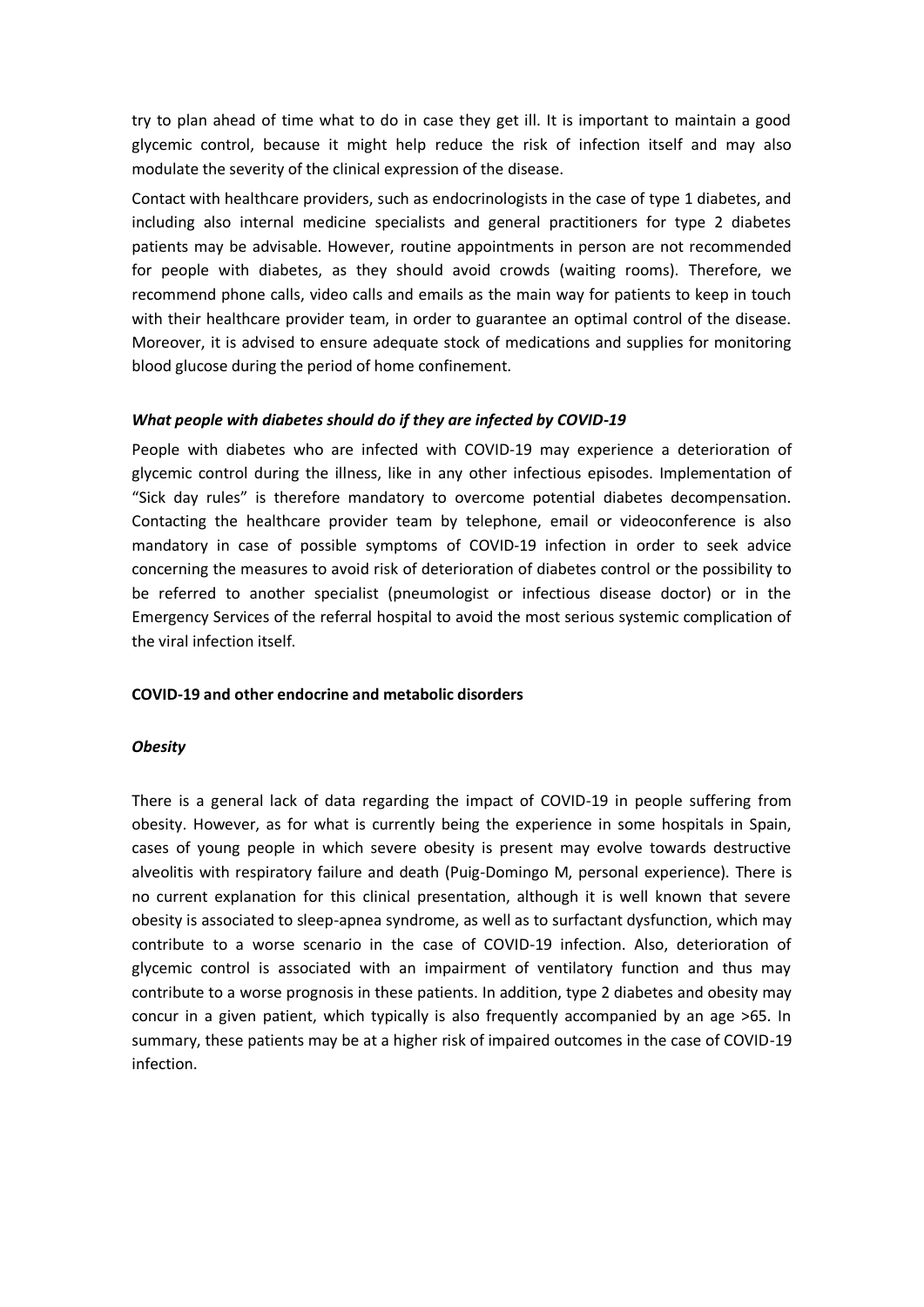try to plan ahead of time what to do in case they get ill. It is important to maintain a good glycemic control, because it might help reduce the risk of infection itself and may also modulate the severity of the clinical expression of the disease.

Contact with healthcare providers, such as endocrinologists in the case of type 1 diabetes, and including also internal medicine specialists and general practitioners for type 2 diabetes patients may be advisable. However, routine appointments in person are not recommended for people with diabetes, as they should avoid crowds (waiting rooms). Therefore, we recommend phone calls, video calls and emails as the main way for patients to keep in touch with their healthcare provider team, in order to guarantee an optimal control of the disease. Moreover, it is advised to ensure adequate stock of medications and supplies for monitoring blood glucose during the period of home confinement.

### *What people with diabetes should do if they are infected by COVID-19*

People with diabetes who are infected with COVID-19 may experience a deterioration of glycemic control during the illness, like in any other infectious episodes. Implementation of "Sick day rules" is therefore mandatory to overcome potential diabetes decompensation. Contacting the healthcare provider team by telephone, email or videoconference is also mandatory in case of possible symptoms of COVID-19 infection in order to seek advice concerning the measures to avoid risk of deterioration of diabetes control or the possibility to be referred to another specialist (pneumologist or infectious disease doctor) or in the Emergency Services of the referral hospital to avoid the most serious systemic complication of the viral infection itself.

### **COVID-19 and other endocrine and metabolic disorders**

### *Obesity*

There is a general lack of data regarding the impact of COVID-19 in people suffering from obesity. However, as for what is currently being the experience in some hospitals in Spain, cases of young people in which severe obesity is present may evolve towards destructive alveolitis with respiratory failure and death (Puig-Domingo M, personal experience). There is no current explanation for this clinical presentation, although it is well known that severe obesity is associated to sleep-apnea syndrome, as well as to surfactant dysfunction, which may contribute to a worse scenario in the case of COVID-19 infection. Also, deterioration of glycemic control is associated with an impairment of ventilatory function and thus may contribute to a worse prognosis in these patients. In addition, type 2 diabetes and obesity may concur in a given patient, which typically is also frequently accompanied by an age >65. In summary, these patients may be at a higher risk of impaired outcomes in the case of COVID-19 infection.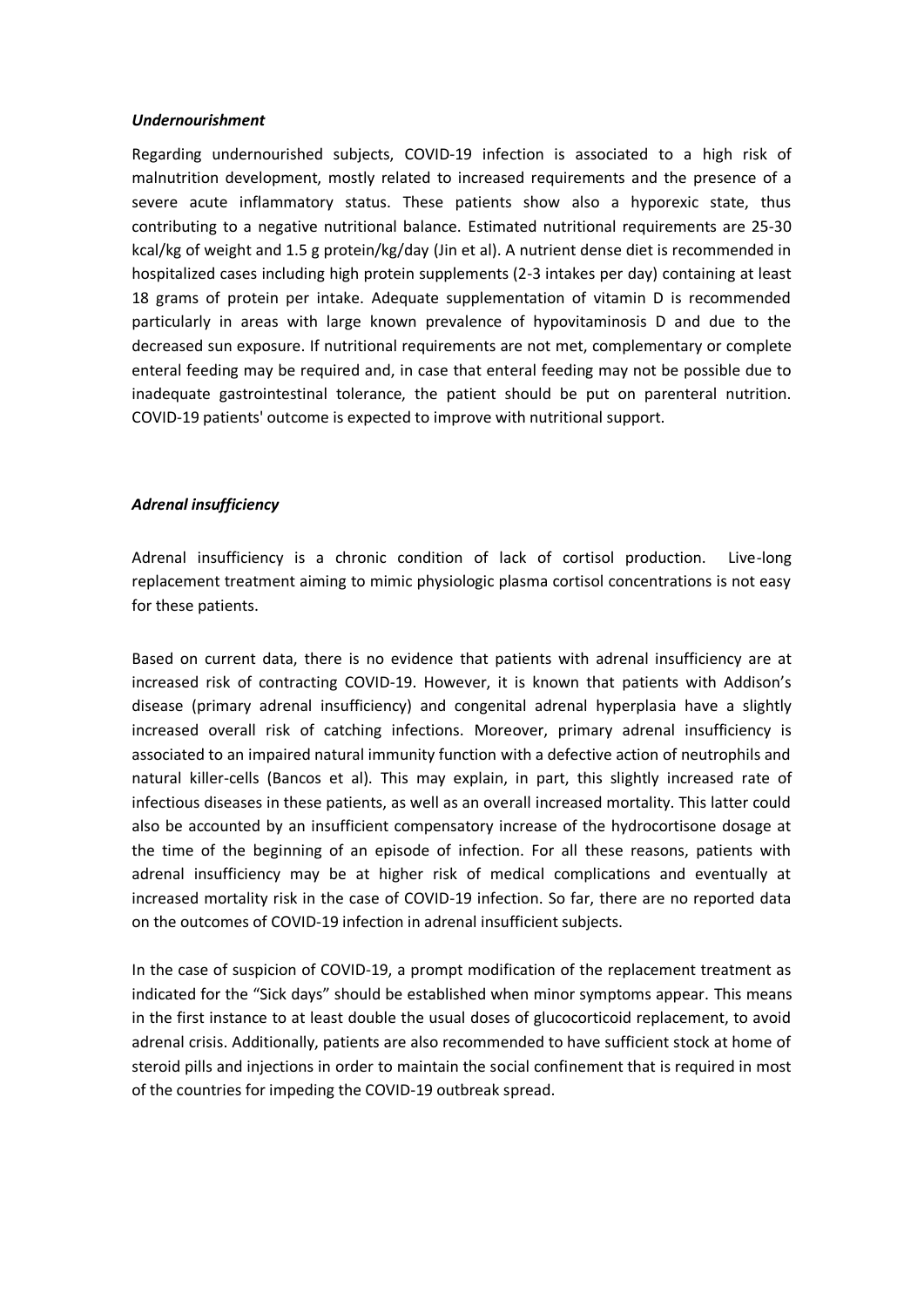#### *Undernourishment*

Regarding undernourished subjects, COVID-19 infection is associated to a high risk of malnutrition development, mostly related to increased requirements and the presence of a severe acute inflammatory status. These patients show also a hyporexic state, thus contributing to a negative nutritional balance. Estimated nutritional requirements are 25-30 kcal/kg of weight and 1.5 g protein/kg/day (Jin et al). A nutrient dense diet is recommended in hospitalized cases including high protein supplements (2-3 intakes per day) containing at least 18 grams of protein per intake. Adequate supplementation of vitamin D is recommended particularly in areas with large known prevalence of hypovitaminosis D and due to the decreased sun exposure. If nutritional requirements are not met, complementary or complete enteral feeding may be required and, in case that enteral feeding may not be possible due to inadequate gastrointestinal tolerance, the patient should be put on parenteral nutrition. COVID-19 patients' outcome is expected to improve with nutritional support.

### *Adrenal insufficiency*

Adrenal insufficiency is a chronic condition of lack of cortisol production. Live-long replacement treatment aiming to mimic physiologic plasma cortisol concentrations is not easy for these patients.

Based on current data, there is no evidence that patients with adrenal insufficiency are at increased risk of contracting COVID-19. However, it is known that patients with Addison's disease (primary adrenal insufficiency) and congenital adrenal hyperplasia have a slightly increased overall risk of catching infections. Moreover, primary adrenal insufficiency is associated to an impaired natural immunity function with a defective action of neutrophils and natural killer-cells (Bancos et al). This may explain, in part, this slightly increased rate of infectious diseases in these patients, as well as an overall increased mortality. This latter could also be accounted by an insufficient compensatory increase of the hydrocortisone dosage at the time of the beginning of an episode of infection. For all these reasons, patients with adrenal insufficiency may be at higher risk of medical complications and eventually at increased mortality risk in the case of COVID-19 infection. So far, there are no reported data on the outcomes of COVID-19 infection in adrenal insufficient subjects.

In the case of suspicion of COVID-19, a prompt modification of the replacement treatment as indicated for the "Sick days" should be established when minor symptoms appear. This means in the first instance to at least double the usual doses of glucocorticoid replacement, to avoid adrenal crisis. Additionally, patients are also recommended to have sufficient stock at home of steroid pills and injections in order to maintain the social confinement that is required in most of the countries for impeding the COVID-19 outbreak spread.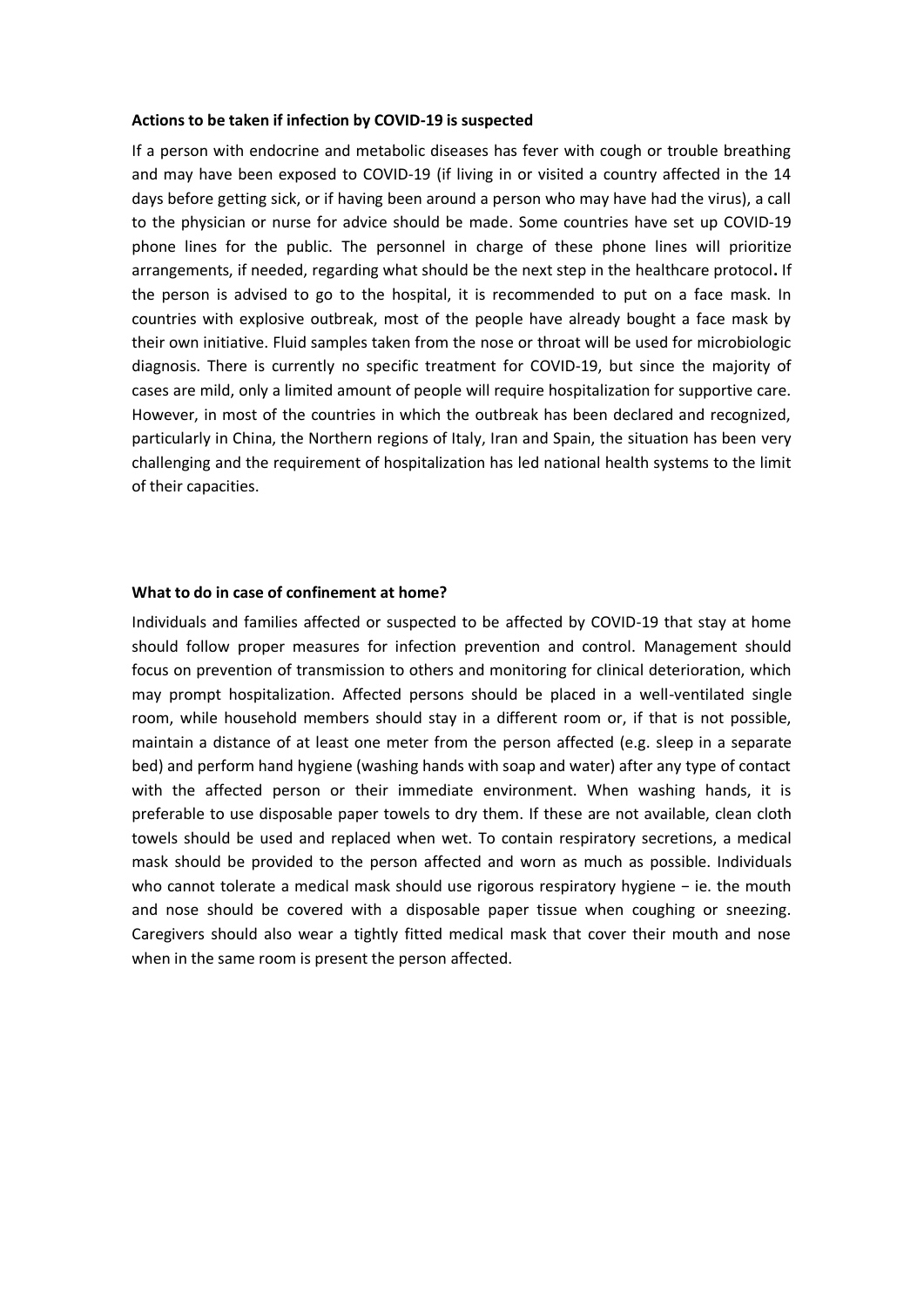#### **Actions to be taken if infection by COVID-19 is suspected**

If a person with endocrine and metabolic diseases has fever with cough or trouble breathing and may have been exposed to COVID-19 (if living in or visited a country affected in the 14 days before getting sick, or if having been around a person who may have had the virus), a call to the physician or nurse for advice should be made. Some countries have set up COVID-19 phone lines for the public. The personnel in charge of these phone lines will prioritize arrangements, if needed, regarding what should be the next step in the healthcare protocol**.** If the person is advised to go to the hospital, it is recommended to put on a face mask. In countries with explosive outbreak, most of the people have already bought a face mask by their own initiative. Fluid samples taken from the nose or throat will be used for microbiologic diagnosis. There is currently no specific treatment for COVID-19, but since the majority of cases are mild, only a limited amount of people will require hospitalization for supportive care. However, in most of the countries in which the outbreak has been declared and recognized, particularly in China, the Northern regions of Italy, Iran and Spain, the situation has been very challenging and the requirement of hospitalization has led national health systems to the limit of their capacities.

#### **What to do in case of confinement at home?**

Individuals and families affected or suspected to be affected by COVID-19 that stay at home should follow proper measures for infection prevention and control. Management should focus on prevention of transmission to others and monitoring for clinical deterioration, which may prompt hospitalization. Affected persons should be placed in a well-ventilated single room, while household members should stay in a different room or, if that is not possible, maintain a distance of at least one meter from the person affected (e.g. sleep in a separate bed) and perform hand hygiene (washing hands with soap and water) after any type of contact with the affected person or their immediate environment. When washing hands, it is preferable to use disposable paper towels to dry them. If these are not available, clean cloth towels should be used and replaced when wet. To contain respiratory secretions, a medical mask should be provided to the person affected and worn as much as possible. Individuals who cannot tolerate a medical mask should use rigorous respiratory hygiene − ie. the mouth and nose should be covered with a disposable paper tissue when coughing or sneezing. Caregivers should also wear a tightly fitted medical mask that cover their mouth and nose when in the same room is present the person affected.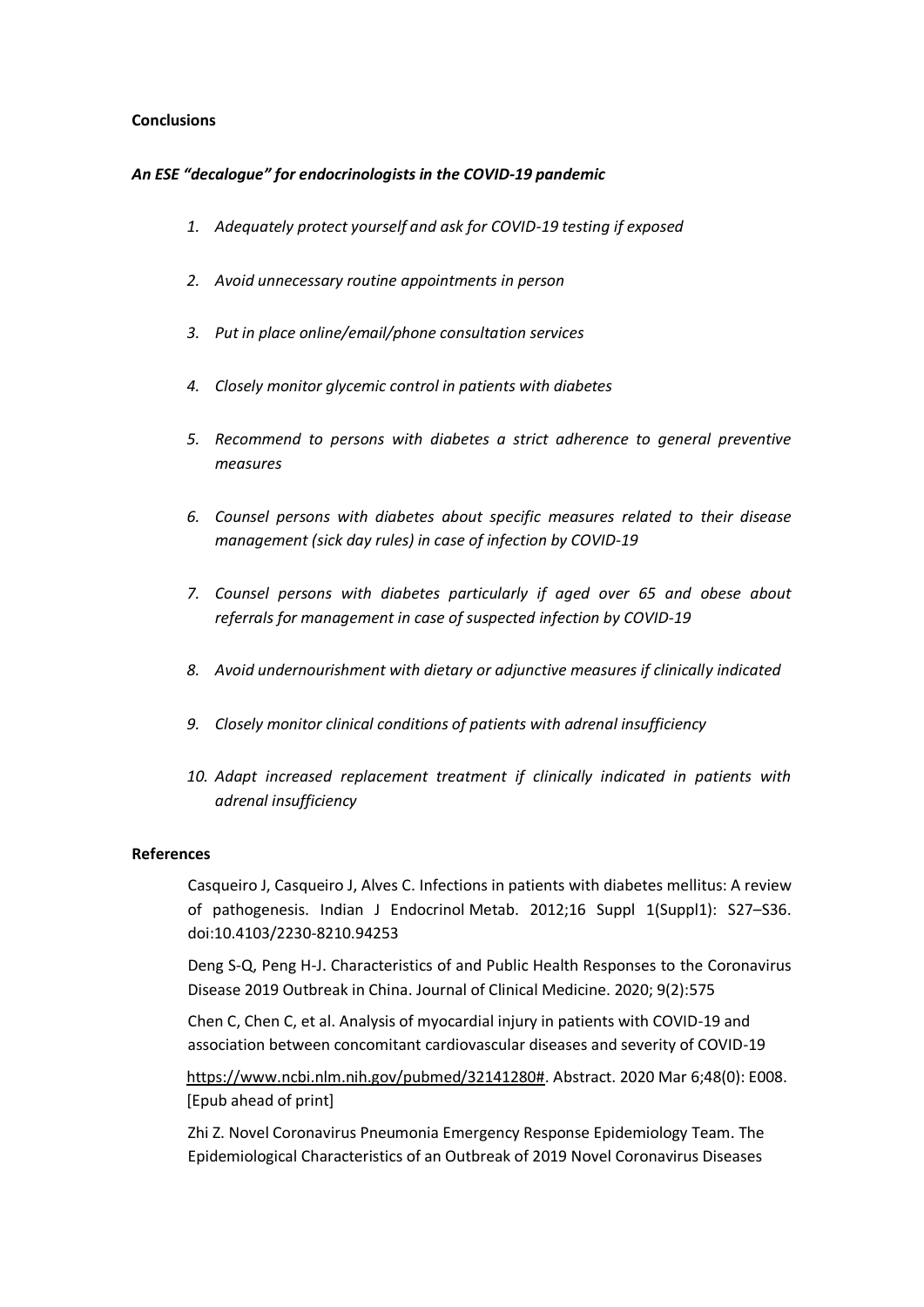## **Conclusions**

### *An ESE "decalogue" for endocrinologists in the COVID-19 pandemic*

- *1. Adequately protect yourself and ask for COVID-19 testing if exposed*
- *2. Avoid unnecessary routine appointments in person*
- *3. Put in place online/email/phone consultation services*
- *4. Closely monitor glycemic control in patients with diabetes*
- *5. Recommend to persons with diabetes a strict adherence to general preventive measures*
- *6. Counsel persons with diabetes about specific measures related to their disease management (sick day rules) in case of infection by COVID-19*
- *7. Counsel persons with diabetes particularly if aged over 65 and obese about referrals for management in case of suspected infection by COVID-19*
- *8. Avoid undernourishment with dietary or adjunctive measures if clinically indicated*
- *9. Closely monitor clinical conditions of patients with adrenal insufficiency*
- *10. Adapt increased replacement treatment if clinically indicated in patients with adrenal insufficiency*

### **References**

Casqueiro J, Casqueiro J, Alves C. Infections in patients with diabetes mellitus: A review of pathogenesis. Indian J Endocrinol Metab. 2012;16 Suppl 1(Suppl1): S27–S36. doi:10.4103/2230-8210.94253

Deng S-Q, Peng H-J. Characteristics of and Public Health Responses to the Coronavirus Disease 2019 Outbreak in China. Journal of Clinical Medicine. 2020; 9(2):575

Chen C, Chen C, et al. Analysis of myocardial injury in patients with COVID-19 and association between concomitant cardiovascular diseases and severity of COVID-19

[https://www.ncbi.nlm.nih.gov/pubmed/32141280#.](https://www.ncbi.nlm.nih.gov/pubmed/32141280) Abstract. 2020 Mar 6;48(0): E008. [Epub ahead of print]

Zhi Z. [Novel Coronavirus Pneumonia Emergency Response Epidemiology](https://pubmed.ncbi.nlm.nih.gov/32064853-the-epidemiological-characteristics-of-an-outbreak-of-2019-novel-coronavirus-diseases-covid-19-in-china/) Team. The Epidemiological Characteristics of an Outbreak of 2019 Novel Coronavirus Diseases